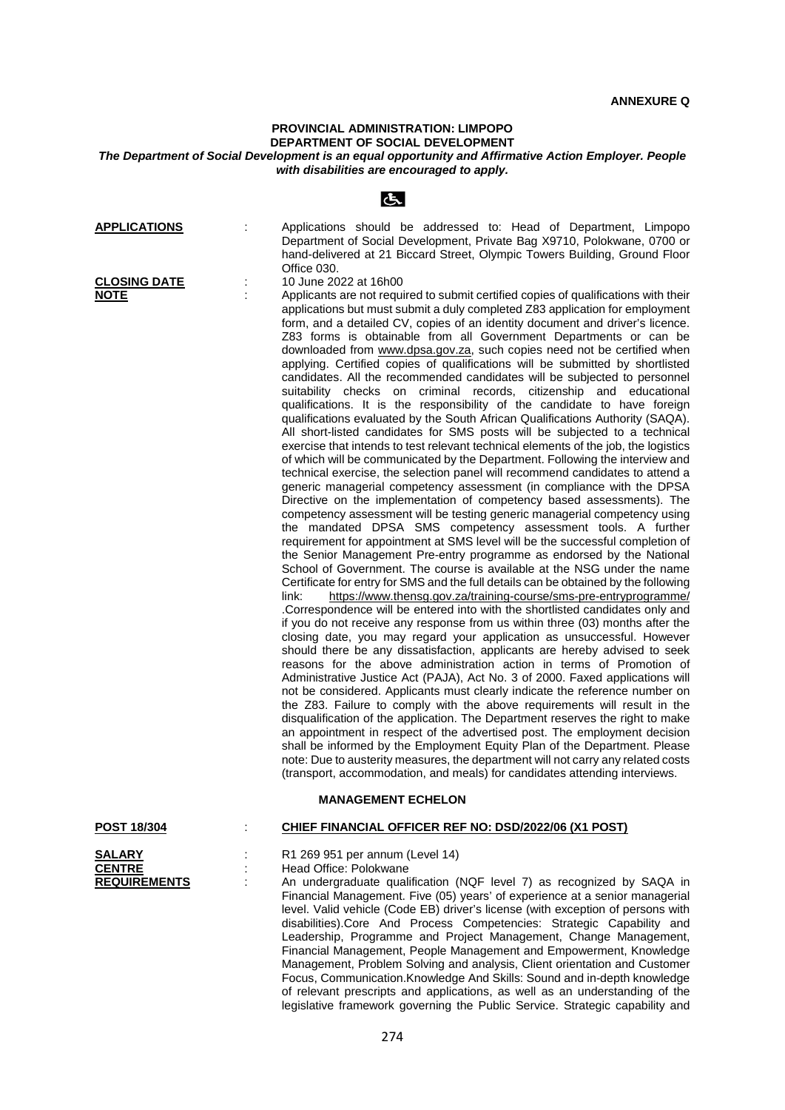## **PROVINCIAL ADMINISTRATION: LIMPOPO DEPARTMENT OF SOCIAL DEVELOPMENT**

## *The Department of Social Development is an equal opportunity and Affirmative Action Employer. People with disabilities are encouraged to apply.*

| <b>APPLICATIONS</b><br><b>CLOSING DATE</b><br><b>NOTE</b> | İ, | Applications should be addressed to: Head of Department, Limpopo<br>Department of Social Development, Private Bag X9710, Polokwane, 0700 or<br>hand-delivered at 21 Biccard Street, Olympic Towers Building, Ground Floor<br>Office 030.<br>10 June 2022 at 16h00<br>Applicants are not required to submit certified copies of qualifications with their<br>applications but must submit a duly completed Z83 application for employment<br>form, and a detailed CV, copies of an identity document and driver's licence.<br>Z83 forms is obtainable from all Government Departments or can be                                                                                                                                                                                                                                                                                                                                                                                                                                                                                                                                                                                                                                                                                                                                                                                                                                                                                                                                                                                                                                                                                                                                                                                                                                                                                                                                                                                                                                                                                                                                                                                                                                                                                                                                                                                                                                                                                                                                                                                                                       |
|-----------------------------------------------------------|----|----------------------------------------------------------------------------------------------------------------------------------------------------------------------------------------------------------------------------------------------------------------------------------------------------------------------------------------------------------------------------------------------------------------------------------------------------------------------------------------------------------------------------------------------------------------------------------------------------------------------------------------------------------------------------------------------------------------------------------------------------------------------------------------------------------------------------------------------------------------------------------------------------------------------------------------------------------------------------------------------------------------------------------------------------------------------------------------------------------------------------------------------------------------------------------------------------------------------------------------------------------------------------------------------------------------------------------------------------------------------------------------------------------------------------------------------------------------------------------------------------------------------------------------------------------------------------------------------------------------------------------------------------------------------------------------------------------------------------------------------------------------------------------------------------------------------------------------------------------------------------------------------------------------------------------------------------------------------------------------------------------------------------------------------------------------------------------------------------------------------------------------------------------------------------------------------------------------------------------------------------------------------------------------------------------------------------------------------------------------------------------------------------------------------------------------------------------------------------------------------------------------------------------------------------------------------------------------------------------------------|
|                                                           |    | downloaded from www.dpsa.gov.za, such copies need not be certified when<br>applying. Certified copies of qualifications will be submitted by shortlisted<br>candidates. All the recommended candidates will be subjected to personnel<br>suitability checks on criminal records, citizenship and educational<br>qualifications. It is the responsibility of the candidate to have foreign<br>qualifications evaluated by the South African Qualifications Authority (SAQA).<br>All short-listed candidates for SMS posts will be subjected to a technical<br>exercise that intends to test relevant technical elements of the job, the logistics<br>of which will be communicated by the Department. Following the interview and<br>technical exercise, the selection panel will recommend candidates to attend a<br>generic managerial competency assessment (in compliance with the DPSA<br>Directive on the implementation of competency based assessments). The<br>competency assessment will be testing generic managerial competency using<br>the mandated DPSA SMS competency assessment tools. A further<br>requirement for appointment at SMS level will be the successful completion of<br>the Senior Management Pre-entry programme as endorsed by the National<br>School of Government. The course is available at the NSG under the name<br>Certificate for entry for SMS and the full details can be obtained by the following<br>link:<br>https://www.thensg.gov.za/training-course/sms-pre-entryprogramme/<br>.Correspondence will be entered into with the shortlisted candidates only and<br>if you do not receive any response from us within three (03) months after the<br>closing date, you may regard your application as unsuccessful. However<br>should there be any dissatisfaction, applicants are hereby advised to seek<br>reasons for the above administration action in terms of Promotion of<br>Administrative Justice Act (PAJA), Act No. 3 of 2000. Faxed applications will<br>not be considered. Applicants must clearly indicate the reference number on<br>the Z83. Failure to comply with the above requirements will result in the<br>disqualification of the application. The Department reserves the right to make<br>an appointment in respect of the advertised post. The employment decision<br>shall be informed by the Employment Equity Plan of the Department. Please<br>note: Due to austerity measures, the department will not carry any related costs<br>(transport, accommodation, and meals) for candidates attending interviews.<br><b>MANAGEMENT ECHELON</b> |
| <b>POST 18/304</b>                                        |    | CHIEF FINANCIAL OFFICER REF NO: DSD/2022/06 (X1 POST)                                                                                                                                                                                                                                                                                                                                                                                                                                                                                                                                                                                                                                                                                                                                                                                                                                                                                                                                                                                                                                                                                                                                                                                                                                                                                                                                                                                                                                                                                                                                                                                                                                                                                                                                                                                                                                                                                                                                                                                                                                                                                                                                                                                                                                                                                                                                                                                                                                                                                                                                                                |
| <b>SALARY</b><br><b>CENTRE</b><br><b>REQUIREMENTS</b>     |    | R1 269 951 per annum (Level 14)<br>Head Office: Polokwane<br>An undergraduate qualification (NQF level 7) as recognized by SAQA in<br>Financial Management. Five (05) years' of experience at a senior managerial<br>level. Valid vehicle (Code EB) driver's license (with exception of persons with<br>disabilities).Core And Process Competencies: Strategic Capability and<br>Leadership, Programme and Project Management, Change Management,<br>Financial Management, People Management and Empowerment, Knowledge<br>Management, Problem Solving and analysis, Client orientation and Customer<br>Focus, Communication. Knowledge And Skills: Sound and in-depth knowledge                                                                                                                                                                                                                                                                                                                                                                                                                                                                                                                                                                                                                                                                                                                                                                                                                                                                                                                                                                                                                                                                                                                                                                                                                                                                                                                                                                                                                                                                                                                                                                                                                                                                                                                                                                                                                                                                                                                                     |

of relevant prescripts and applications, as well as an understanding of the legislative framework governing the Public Service. Strategic capability and